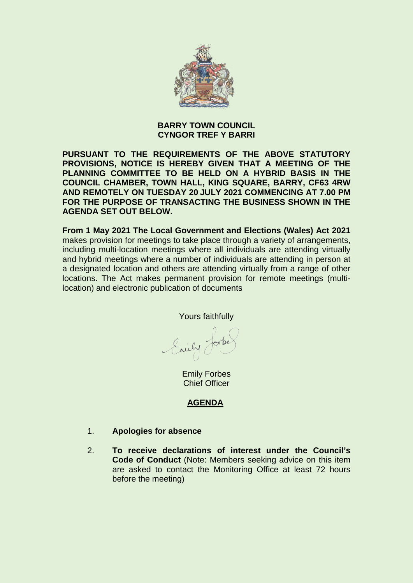

## **BARRY TOWN COUNCIL CYNGOR TREF Y BARRI**

**PURSUANT TO THE REQUIREMENTS OF THE ABOVE STATUTORY PROVISIONS, NOTICE IS HEREBY GIVEN THAT A MEETING OF THE PLANNING COMMITTEE TO BE HELD ON A HYBRID BASIS IN THE COUNCIL CHAMBER, TOWN HALL, KING SQUARE, BARRY, CF63 4RW AND REMOTELY ON TUESDAY 20 JULY 2021 COMMENCING AT 7.00 PM FOR THE PURPOSE OF TRANSACTING THE BUSINESS SHOWN IN THE AGENDA SET OUT BELOW.** 

**From 1 May 2021 The Local Government and Elections (Wales) Act 2021**  makes provision for meetings to take place through a variety of arrangements, including multi-location meetings where all individuals are attending virtually and hybrid meetings where a number of individuals are attending in person at a designated location and others are attending virtually from a range of other locations. The Act makes permanent provision for remote meetings (multilocation) and electronic publication of documents

Yours faithfully

Enily Jorke

Emily Forbes Chief Officer

# **AGENDA**

- 1. **Apologies for absence**
- 2. **To receive declarations of interest under the Council's Code of Conduct** (Note: Members seeking advice on this item are asked to contact the Monitoring Office at least 72 hours before the meeting)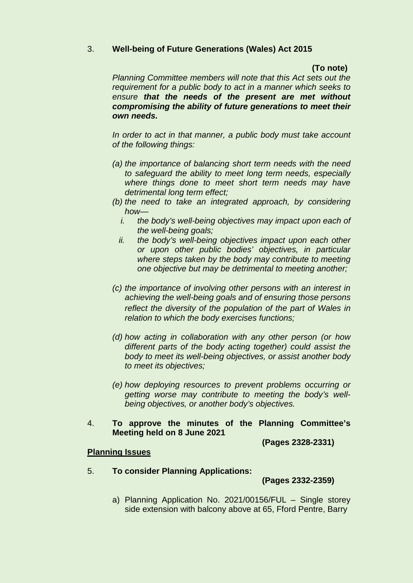## 3. **Well-being of Future Generations (Wales) Act 2015**

#### **(To note)**

*Planning Committee members will note that this Act sets out the requirement for a public body to act in a manner which seeks to ensure that the needs of the present are met without compromising the ability of future generations to meet their own needs.*

*In order to act in that manner, a public body must take account of the following things:*

- *(a) the importance of balancing short term needs with the need to safeguard the ability to meet long term needs, especially where things done to meet short term needs may have detrimental long term effect;*
- *(b) the need to take an integrated approach, by considering how* 
	- *i. the body's well-being objectives may impact upon each of the well-being goals;*
	- *ii. the body's well-being objectives impact upon each other or upon other public bodies' objectives, in particular where steps taken by the body may contribute to meeting one objective but may be detrimental to meeting another;*
- *(c) the importance of involving other persons with an interest in achieving the well-being goals and of ensuring those persons reflect the diversity of the population of the part of Wales in relation to which the body exercises functions;*
- *(d) how acting in collaboration with any other person (or how different parts of the body acting together) could assist the body to meet its well-being objectives, or assist another body to meet its objectives;*
- *(e) how deploying resources to prevent problems occurring or getting worse may contribute to meeting the body's wellbeing objectives, or another body's objectives.*
- 4. **To approve the minutes of the Planning Committee's Meeting held on 8 June 2021**

 **(Pages 2328-2331)** 

#### **Planning Issues**

5. **To consider Planning Applications:** 

 **(Pages 2332-2359)** 

a) Planning Application No. 2021/00156/FUL – Single storey side extension with balcony above at 65, Fford Pentre, Barry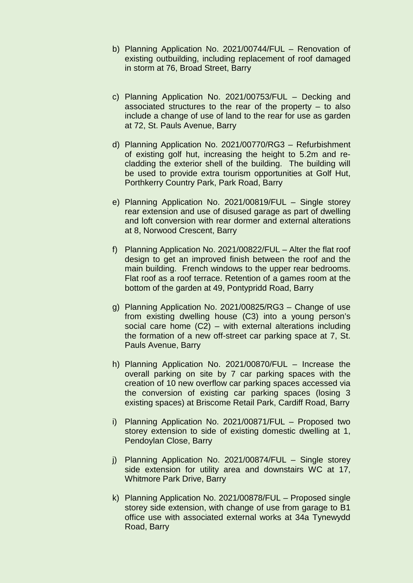- b) Planning Application No. 2021/00744/FUL Renovation of existing outbuilding, including replacement of roof damaged in storm at 76, Broad Street, Barry
- c) Planning Application No. 2021/00753/FUL Decking and associated structures to the rear of the property – to also include a change of use of land to the rear for use as garden at 72, St. Pauls Avenue, Barry
- d) Planning Application No. 2021/00770/RG3 Refurbishment of existing golf hut, increasing the height to 5.2m and recladding the exterior shell of the building. The building will be used to provide extra tourism opportunities at Golf Hut, Porthkerry Country Park, Park Road, Barry
- e) Planning Application No. 2021/00819/FUL Single storey rear extension and use of disused garage as part of dwelling and loft conversion with rear dormer and external alterations at 8, Norwood Crescent, Barry
- f) Planning Application No. 2021/00822/FUL Alter the flat roof design to get an improved finish between the roof and the main building. French windows to the upper rear bedrooms. Flat roof as a roof terrace. Retention of a games room at the bottom of the garden at 49, Pontypridd Road, Barry
- g) Planning Application No. 2021/00825/RG3 Change of use from existing dwelling house (C3) into a young person's social care home (C2) – with external alterations including the formation of a new off-street car parking space at 7, St. Pauls Avenue, Barry
- h) Planning Application No. 2021/00870/FUL Increase the overall parking on site by 7 car parking spaces with the creation of 10 new overflow car parking spaces accessed via the conversion of existing car parking spaces (losing 3 existing spaces) at Briscome Retail Park, Cardiff Road, Barry
- i) Planning Application No. 2021/00871/FUL Proposed two storey extension to side of existing domestic dwelling at 1, Pendoylan Close, Barry
- j) Planning Application No. 2021/00874/FUL Single storey side extension for utility area and downstairs WC at 17, Whitmore Park Drive, Barry
- k) Planning Application No. 2021/00878/FUL Proposed single storey side extension, with change of use from garage to B1 office use with associated external works at 34a Tynewydd Road, Barry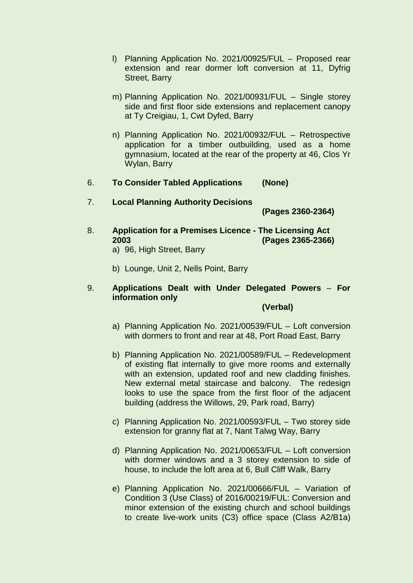- l) Planning Application No. 2021/00925/FUL Proposed rear extension and rear dormer loft conversion at 11, Dyfrig Street, Barry
- m) Planning Application No. 2021/00931/FUL Single storey side and first floor side extensions and replacement canopy at Ty Creigiau, 1, Cwt Dyfed, Barry
- n) Planning Application No. 2021/00932/FUL Retrospective application for a timber outbuilding, used as a home gymnasium, located at the rear of the property at 46, Clos Yr Wylan, Barry
- 6. **To Consider Tabled Applications (None)**
- 7. **Local Planning Authority Decisions**

**(Pages 2360-2364)**

- 8. **Application for a Premises Licence The Licensing Act 2003 (Pages 2365-2366)** a) 96, High Street, Barry
	-
	- b) Lounge, Unit 2, Nells Point, Barry

#### 9. **Applications Dealt with Under Delegated Powers** – **For information only**

#### **(Verbal)**

- a) Planning Application No. 2021/00539/FUL Loft conversion with dormers to front and rear at 48, Port Road East, Barry
- b) Planning Application No. 2021/00589/FUL Redevelopment of existing flat internally to give more rooms and externally with an extension, updated roof and new cladding finishes. New external metal staircase and balcony. The redesign looks to use the space from the first floor of the adjacent building (address the Willows, 29, Park road, Barry)
- c) Planning Application No. 2021/00593/FUL Two storey side extension for granny flat at 7, Nant Talwg Way, Barry
- d) Planning Application No. 2021/00653/FUL Loft conversion with dormer windows and a 3 storey extension to side of house, to include the loft area at 6, Bull Cliff Walk, Barry
- e) Planning Application No. 2021/00666/FUL Variation of Condition 3 (Use Class) of 2016/00219/FUL: Conversion and minor extension of the existing church and school buildings to create live-work units (C3) office space (Class A2/B1a)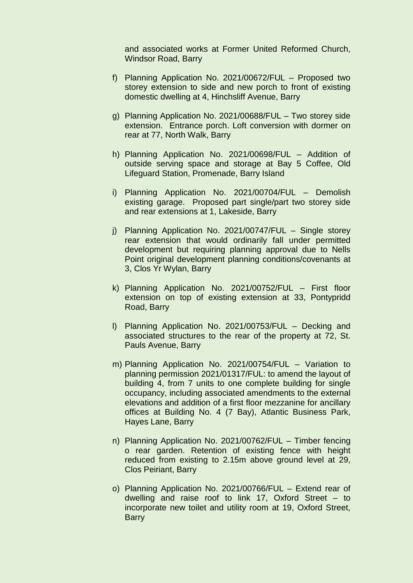and associated works at Former United Reformed Church, Windsor Road, Barry

- f) Planning Application No. 2021/00672/FUL Proposed two storey extension to side and new porch to front of existing domestic dwelling at 4, Hinchsliff Avenue, Barry
- g) Planning Application No. 2021/00688/FUL Two storey side extension. Entrance porch. Loft conversion with dormer on rear at 77, North Walk, Barry
- h) Planning Application No. 2021/00698/FUL Addition of outside serving space and storage at Bay 5 Coffee, Old Lifeguard Station, Promenade, Barry Island
- i) Planning Application No. 2021/00704/FUL Demolish existing garage. Proposed part single/part two storey side and rear extensions at 1, Lakeside, Barry
- j) Planning Application No. 2021/00747/FUL Single storey rear extension that would ordinarily fall under permitted development but requiring planning approval due to Nells Point original development planning conditions/covenants at 3, Clos Yr Wylan, Barry
- k) Planning Application No. 2021/00752/FUL First floor extension on top of existing extension at 33, Pontypridd Road, Barry
- l) Planning Application No. 2021/00753/FUL Decking and associated structures to the rear of the property at 72, St. Pauls Avenue, Barry
- m) Planning Application No. 2021/00754/FUL Variation to planning permission 2021/01317/FUL: to amend the layout of building 4, from 7 units to one complete building for single occupancy, including associated amendments to the external elevations and addition of a first floor mezzanine for ancillary offices at Building No. 4 (7 Bay), Atlantic Business Park, Hayes Lane, Barry
- n) Planning Application No. 2021/00762/FUL Timber fencing o rear garden. Retention of existing fence with height reduced from existing to 2.15m above ground level at 29, Clos Peiriant, Barry
- o) Planning Application No. 2021/00766/FUL Extend rear of dwelling and raise roof to link 17, Oxford Street – to incorporate new toilet and utility room at 19, Oxford Street, **Barry**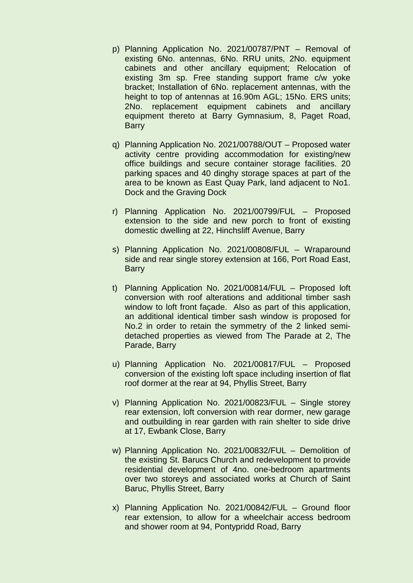- p) Planning Application No. 2021/00787/PNT Removal of existing 6No. antennas, 6No. RRU units, 2No. equipment cabinets and other ancillary equipment; Relocation of existing 3m sp. Free standing support frame c/w yoke bracket; Installation of 6No. replacement antennas, with the height to top of antennas at 16.90m AGL; 15No. ERS units; 2No. replacement equipment cabinets and ancillary equipment thereto at Barry Gymnasium, 8, Paget Road, **Barry**
- q) Planning Application No. 2021/00788/OUT Proposed water activity centre providing accommodation for existing/new office buildings and secure container storage facilities. 20 parking spaces and 40 dinghy storage spaces at part of the area to be known as East Quay Park, land adjacent to No1. Dock and the Graving Dock
- r) Planning Application No. 2021/00799/FUL Proposed extension to the side and new porch to front of existing domestic dwelling at 22, Hinchsliff Avenue, Barry
- s) Planning Application No. 2021/00808/FUL Wraparound side and rear single storey extension at 166, Port Road East, **Barry**
- t) Planning Application No. 2021/00814/FUL Proposed loft conversion with roof alterations and additional timber sash window to loft front façade. Also as part of this application, an additional identical timber sash window is proposed for No.2 in order to retain the symmetry of the 2 linked semidetached properties as viewed from The Parade at 2, The Parade, Barry
- u) Planning Application No. 2021/00817/FUL Proposed conversion of the existing loft space including insertion of flat roof dormer at the rear at 94, Phyllis Street, Barry
- v) Planning Application No. 2021/00823/FUL Single storey rear extension, loft conversion with rear dormer, new garage and outbuilding in rear garden with rain shelter to side drive at 17, Ewbank Close, Barry
- w) Planning Application No. 2021/00832/FUL Demolition of the existing St. Barucs Church and redevelopment to provide residential development of 4no. one-bedroom apartments over two storeys and associated works at Church of Saint Baruc, Phyllis Street, Barry
- x) Planning Application No. 2021/00842/FUL Ground floor rear extension, to allow for a wheelchair access bedroom and shower room at 94, Pontypridd Road, Barry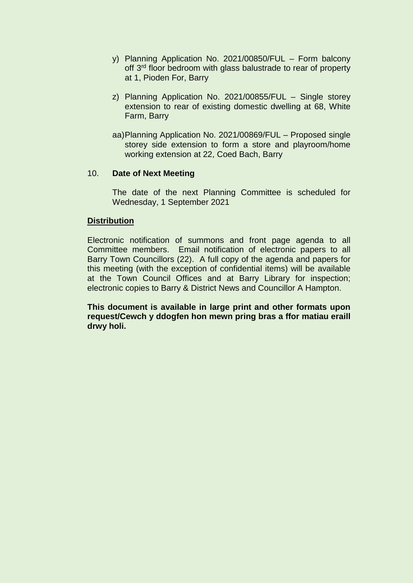- y) Planning Application No. 2021/00850/FUL Form balcony off 3<sup>rd</sup> floor bedroom with glass balustrade to rear of property at 1, Pioden For, Barry
- z) Planning Application No. 2021/00855/FUL Single storey extension to rear of existing domestic dwelling at 68, White Farm, Barry
- aa)Planning Application No. 2021/00869/FUL Proposed single storey side extension to form a store and playroom/home working extension at 22, Coed Bach, Barry

#### 10. **Date of Next Meeting**

The date of the next Planning Committee is scheduled for Wednesday, 1 September 2021

#### **Distribution**

Electronic notification of summons and front page agenda to all Committee members. Email notification of electronic papers to all Barry Town Councillors (22). A full copy of the agenda and papers for this meeting (with the exception of confidential items) will be available at the Town Council Offices and at Barry Library for inspection; electronic copies to Barry & District News and Councillor A Hampton.

**This document is available in large print and other formats upon request/Cewch y ddogfen hon mewn pring bras a ffor matiau eraill drwy holi.**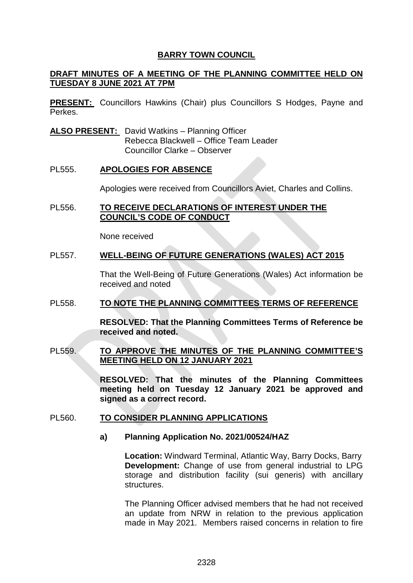#### **DRAFT MINUTES OF A MEETING OF THE PLANNING COMMITTEE HELD ON TUESDAY 8 JUNE 2021 AT 7PM**

**PRESENT:** Councillors Hawkins (Chair) plus Councillors S Hodges, Payne and Perkes.

**ALSO PRESENT:** David Watkins – Planning Officer Rebecca Blackwell – Office Team Leader Councillor Clarke – Observer

#### PL555. **APOLOGIES FOR ABSENCE**

Apologies were received from Councillors Aviet, Charles and Collins.

#### PL556. **TO RECEIVE DECLARATIONS OF INTEREST UNDER THE COUNCIL'S CODE OF CONDUCT**

None received

#### PL557. **WELL-BEING OF FUTURE GENERATIONS (WALES) ACT 2015**

That the Well-Being of Future Generations (Wales) Act information be received and noted

#### PL558. **TO NOTE THE PLANNING COMMITTEES TERMS OF REFERENCE**

**RESOLVED: That the Planning Committees Terms of Reference be received and noted.** 

## PL559. **TO APPROVE THE MINUTES OF THE PLANNING COMMITTEE'S MEETING HELD ON 12 JANUARY 2021**

**RESOLVED: That the minutes of the Planning Committees meeting held on Tuesday 12 January 2021 be approved and signed as a correct record.** 

#### PL560. **TO CONSIDER PLANNING APPLICATIONS**

#### **a) Planning Application No. 2021/00524/HAZ**

**Location:** Windward Terminal, Atlantic Way, Barry Docks, Barry **Development:** Change of use from general industrial to LPG storage and distribution facility (sui generis) with ancillary structures.

The Planning Officer advised members that he had not received an update from NRW in relation to the previous application made in May 2021. Members raised concerns in relation to fire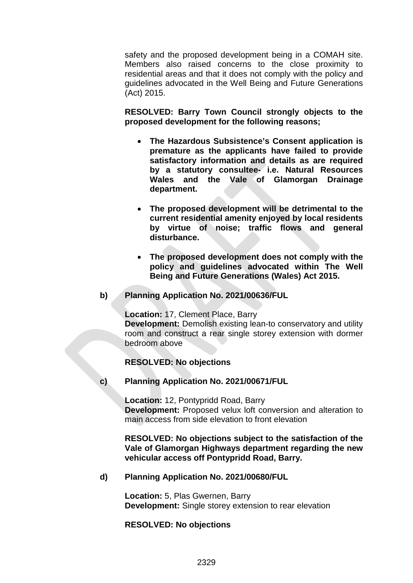safety and the proposed development being in a COMAH site. Members also raised concerns to the close proximity to residential areas and that it does not comply with the policy and guidelines advocated in the Well Being and Future Generations (Act) 2015.

**RESOLVED: Barry Town Council strongly objects to the proposed development for the following reasons;**

- **The Hazardous Subsistence's Consent application is premature as the applicants have failed to provide satisfactory information and details as are required by a statutory consultee- i.e. Natural Resources Wales and the Vale of Glamorgan Drainage department.**
- **The proposed development will be detrimental to the current residential amenity enjoyed by local residents by virtue of noise; traffic flows and general disturbance.**
- **The proposed development does not comply with the policy and guidelines advocated within The Well Being and Future Generations (Wales) Act 2015.**

## **b) Planning Application No. 2021/00636/FUL**

**Location:** 17, Clement Place, Barry **Development:** Demolish existing lean-to conservatory and utility room and construct a rear single storey extension with dormer bedroom above

## **RESOLVED: No objections**

**c) Planning Application No. 2021/00671/FUL**

**Location:** 12, Pontypridd Road, Barry **Development:** Proposed velux loft conversion and alteration to main access from side elevation to front elevation

**RESOLVED: No objections subject to the satisfaction of the Vale of Glamorgan Highways department regarding the new vehicular access off Pontypridd Road, Barry.**

#### **d) Planning Application No. 2021/00680/FUL**

**Location:** 5, Plas Gwernen, Barry **Development:** Single storey extension to rear elevation

#### **RESOLVED: No objections**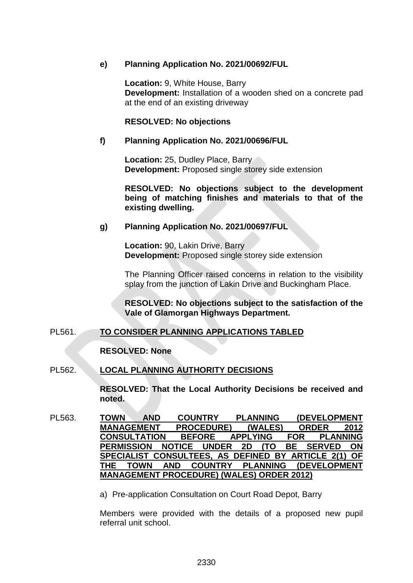#### **e) Planning Application No. 2021/00692/FUL**

**Location:** 9, White House, Barry **Development:** Installation of a wooden shed on a concrete pad at the end of an existing driveway

#### **RESOLVED: No objections**

#### **f) Planning Application No. 2021/00696/FUL**

**Location:** 25, Dudley Place, Barry **Development:** Proposed single storey side extension

**RESOLVED: No objections subject to the development being of matching finishes and materials to that of the existing dwelling.**

## **g) Planning Application No. 2021/00697/FUL**

**Location:** 90, Lakin Drive, Barry **Development:** Proposed single storey side extension

The Planning Officer raised concerns in relation to the visibility splay from the junction of Lakin Drive and Buckingham Place.

**RESOLVED: No objections subject to the satisfaction of the Vale of Glamorgan Highways Department.**

## PL561. **TO CONSIDER PLANNING APPLICATIONS TABLED**

**RESOLVED: None**

## PL562. **LOCAL PLANNING AUTHORITY DECISIONS**

**RESOLVED: That the Local Authority Decisions be received and noted.** 

PL563. **TOWN AND COUNTRY PLANNING (DEVELOPMENT MANAGEMENT PROCEDURE) (WALES) ORDER 2012 CONSULTATION BEFORE APPLYING FOR PLANNING PERMISSION NOTICE UNDER 2D (TO SPECIALIST CONSULTEES, AS DEFINED BY ARTICLE 2(1) OF THE TOPMENT MANAGEMENT PROCEDURE) (WALES) ORDER 2012)**

a) Pre-application Consultation on Court Road Depot, Barry

Members were provided with the details of a proposed new pupil referral unit school.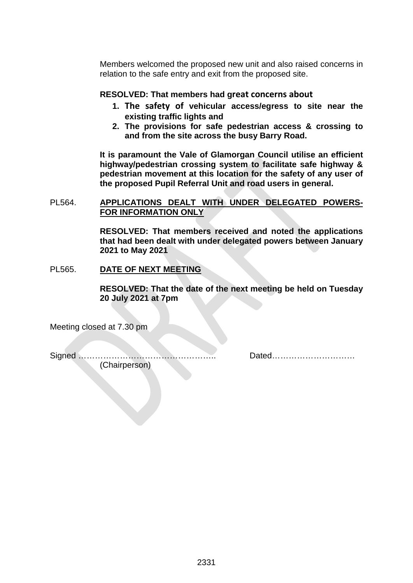Members welcomed the proposed new unit and also raised concerns in relation to the safe entry and exit from the proposed site.

## **RESOLVED: That members had great concerns about**

- **1. The safety of vehicular access/egress to site near the existing traffic lights and**
- **2. The provisions for safe pedestrian access & crossing to and from the site across the busy Barry Road.**

**It is paramount the Vale of Glamorgan Council utilise an efficient highway/pedestrian crossing system to facilitate safe highway & pedestrian movement at this location for the safety of any user of the proposed Pupil Referral Unit and road users in general.**

#### PL564. **APPLICATIONS DEALT WITH UNDER DELEGATED POWERS-FOR INFORMATION ONLY**

**RESOLVED: That members received and noted the applications that had been dealt with under delegated powers between January 2021 to May 2021**

#### PL565. **DATE OF NEXT MEETING**

**RESOLVED: That the date of the next meeting be held on Tuesday 20 July 2021 at 7pm**

Meeting closed at 7.30 pm

Signed ………………………………………….. Dated…………………………

(Chairperson)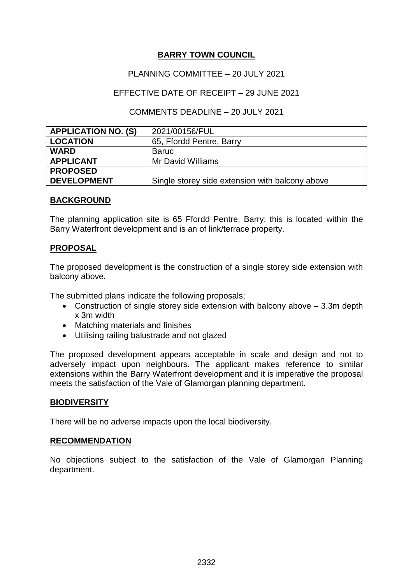## PLANNING COMMITTEE – 20 JULY 2021

## EFFECTIVE DATE OF RECEIPT – 29 JUNE 2021

## COMMENTS DEADLINE – 20 JULY 2021

| <b>APPLICATION NO. (S)</b> | 2021/00156/FUL                                  |
|----------------------------|-------------------------------------------------|
| <b>LOCATION</b>            | 65, Ffordd Pentre, Barry                        |
| <b>WARD</b>                | Baruc                                           |
| <b>APPLICANT</b>           | <b>Mr David Williams</b>                        |
| <b>PROPOSED</b>            |                                                 |
| <b>DEVELOPMENT</b>         | Single storey side extension with balcony above |

## **BACKGROUND**

The planning application site is 65 Ffordd Pentre, Barry; this is located within the Barry Waterfront development and is an of link/terrace property.

## **PROPOSAL**

The proposed development is the construction of a single storey side extension with balcony above.

The submitted plans indicate the following proposals;

- Construction of single storey side extension with balcony above 3.3m depth x 3m width
- Matching materials and finishes
- Utilising railing balustrade and not glazed

The proposed development appears acceptable in scale and design and not to adversely impact upon neighbours. The applicant makes reference to similar extensions within the Barry Waterfront development and it is imperative the proposal meets the satisfaction of the Vale of Glamorgan planning department.

#### **BIODIVERSITY**

There will be no adverse impacts upon the local biodiversity.

## **RECOMMENDATION**

No objections subject to the satisfaction of the Vale of Glamorgan Planning department.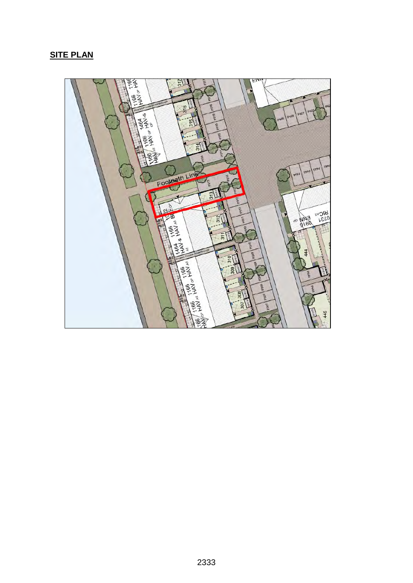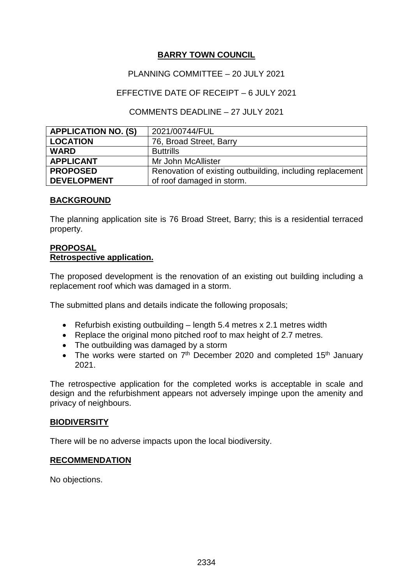## PLANNING COMMITTEE – 20 JULY 2021

## EFFECTIVE DATE OF RECEIPT – 6 JULY 2021

## COMMENTS DEADLINE – 27 JULY 2021

| <b>APPLICATION NO. (S)</b> | 2021/00744/FUL                                            |
|----------------------------|-----------------------------------------------------------|
| <b>LOCATION</b>            | 76, Broad Street, Barry                                   |
| <b>WARD</b>                | <b>Buttrills</b>                                          |
| <b>APPLICANT</b>           | Mr John McAllister                                        |
| <b>PROPOSED</b>            | Renovation of existing outbuilding, including replacement |
| <b>DEVELOPMENT</b>         | of roof damaged in storm.                                 |

## **BACKGROUND**

The planning application site is 76 Broad Street, Barry; this is a residential terraced property.

#### **PROPOSAL Retrospective application.**

The proposed development is the renovation of an existing out building including a replacement roof which was damaged in a storm.

The submitted plans and details indicate the following proposals;

- Refurbish existing outbuilding length 5.4 metres x 2.1 metres width
- Replace the original mono pitched roof to max height of 2.7 metres.
- The outbuilding was damaged by a storm
- The works were started on  $7<sup>th</sup>$  December 2020 and completed 15<sup>th</sup> January 2021.

The retrospective application for the completed works is acceptable in scale and design and the refurbishment appears not adversely impinge upon the amenity and privacy of neighbours.

## **BIODIVERSITY**

There will be no adverse impacts upon the local biodiversity.

## **RECOMMENDATION**

No objections.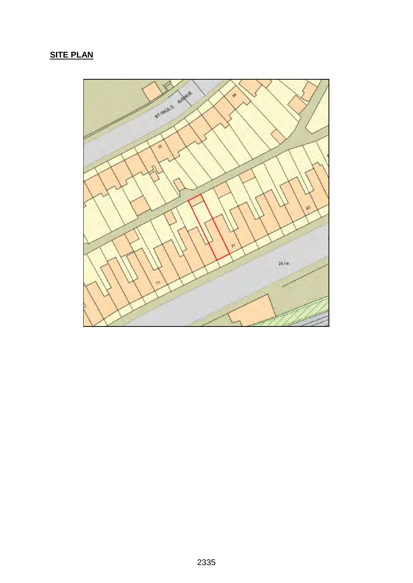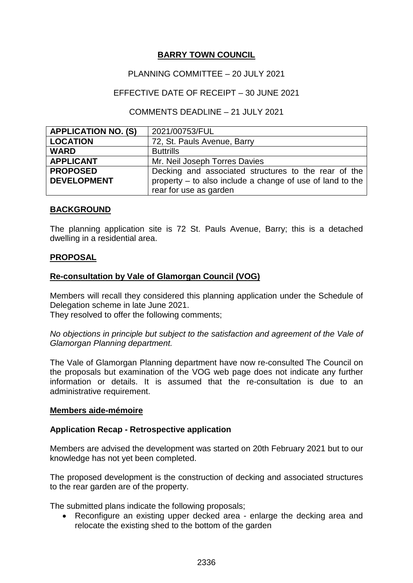## PLANNING COMMITTEE – 20 JULY 2021

## EFFECTIVE DATE OF RECEIPT – 30 JUNE 2021

## COMMENTS DEADLINE – 21 JULY 2021

| <b>APPLICATION NO. (S)</b> | 2021/00753/FUL                                            |
|----------------------------|-----------------------------------------------------------|
| <b>LOCATION</b>            | 72, St. Pauls Avenue, Barry                               |
| <b>WARD</b>                | <b>Buttrills</b>                                          |
| <b>APPLICANT</b>           | Mr. Neil Joseph Torres Davies                             |
| <b>PROPOSED</b>            | Decking and associated structures to the rear of the      |
| <b>DEVELOPMENT</b>         | property – to also include a change of use of land to the |
|                            | rear for use as garden                                    |

## **BACKGROUND**

The planning application site is 72 St. Pauls Avenue, Barry; this is a detached dwelling in a residential area.

## **PROPOSAL**

## **Re-consultation by Vale of Glamorgan Council (VOG)**

Members will recall they considered this planning application under the Schedule of Delegation scheme in late June 2021.

They resolved to offer the following comments;

*No objections in principle but subject to the satisfaction and agreement of the Vale of Glamorgan Planning department.*

The Vale of Glamorgan Planning department have now re-consulted The Council on the proposals but examination of the VOG web page does not indicate any further information or details. It is assumed that the re-consultation is due to an administrative requirement.

## **Members aide-mémoire**

## **Application Recap - Retrospective application**

Members are advised the development was started on 20th February 2021 but to our knowledge has not yet been completed.

The proposed development is the construction of decking and associated structures to the rear garden are of the property.

The submitted plans indicate the following proposals;

• Reconfigure an existing upper decked area - enlarge the decking area and relocate the existing shed to the bottom of the garden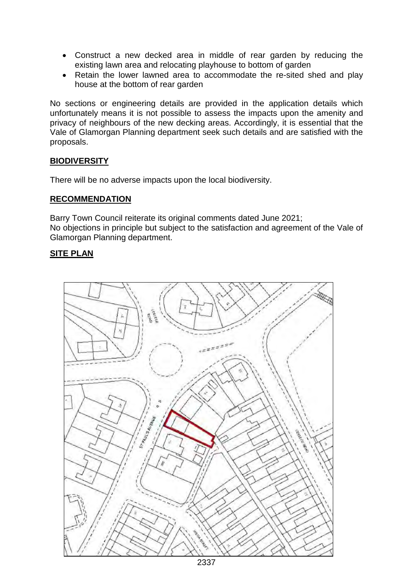- Construct a new decked area in middle of rear garden by reducing the existing lawn area and relocating playhouse to bottom of garden
- Retain the lower lawned area to accommodate the re-sited shed and play house at the bottom of rear garden

No sections or engineering details are provided in the application details which unfortunately means it is not possible to assess the impacts upon the amenity and privacy of neighbours of the new decking areas. Accordingly, it is essential that the Vale of Glamorgan Planning department seek such details and are satisfied with the proposals.

## **BIODIVERSITY**

There will be no adverse impacts upon the local biodiversity.

## **RECOMMENDATION**

Barry Town Council reiterate its original comments dated June 2021; No objections in principle but subject to the satisfaction and agreement of the Vale of Glamorgan Planning department.

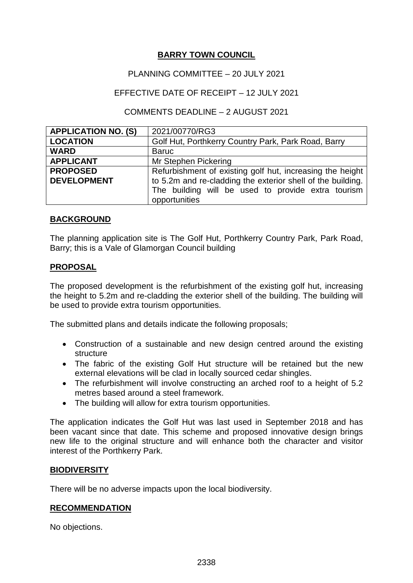## PLANNING COMMITTEE – 20 JULY 2021

## EFFECTIVE DATE OF RECEIPT – 12 JULY 2021

## COMMENTS DEADLINE – 2 AUGUST 2021

| <b>APPLICATION NO. (S)</b> | 2021/00770/RG3                                              |
|----------------------------|-------------------------------------------------------------|
| <b>LOCATION</b>            | Golf Hut, Porthkerry Country Park, Park Road, Barry         |
| <b>WARD</b>                | <b>Baruc</b>                                                |
| <b>APPLICANT</b>           | Mr Stephen Pickering                                        |
| <b>PROPOSED</b>            | Refurbishment of existing golf hut, increasing the height   |
| <b>DEVELOPMENT</b>         | to 5.2m and re-cladding the exterior shell of the building. |
|                            | The building will be used to provide extra tourism          |
|                            | opportunities                                               |

## **BACKGROUND**

The planning application site is The Golf Hut, Porthkerry Country Park, Park Road, Barry; this is a Vale of Glamorgan Council building

## **PROPOSAL**

The proposed development is the refurbishment of the existing golf hut, increasing the height to 5.2m and re-cladding the exterior shell of the building. The building will be used to provide extra tourism opportunities.

The submitted plans and details indicate the following proposals;

- Construction of a sustainable and new design centred around the existing structure
- The fabric of the existing Golf Hut structure will be retained but the new external elevations will be clad in locally sourced cedar shingles.
- The refurbishment will involve constructing an arched roof to a height of 5.2 metres based around a steel framework.
- The building will allow for extra tourism opportunities.

The application indicates the Golf Hut was last used in September 2018 and has been vacant since that date. This scheme and proposed innovative design brings new life to the original structure and will enhance both the character and visitor interest of the Porthkerry Park.

## **BIODIVERSITY**

There will be no adverse impacts upon the local biodiversity.

## **RECOMMENDATION**

No objections.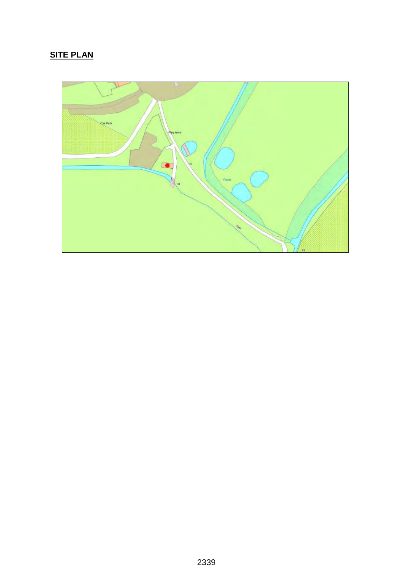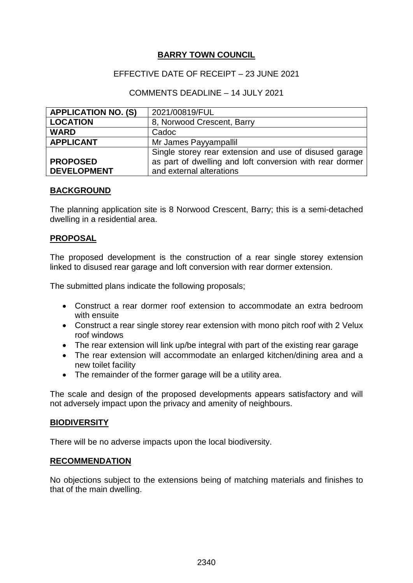## EFFECTIVE DATE OF RECEIPT – 23 JUNE 2021

## COMMENTS DEADLINE – 14 JULY 2021

| <b>APPLICATION NO. (S)</b> | 2021/00819/FUL                                           |
|----------------------------|----------------------------------------------------------|
| <b>LOCATION</b>            | 8, Norwood Crescent, Barry                               |
| <b>WARD</b>                | Cadoc                                                    |
| <b>APPLICANT</b>           | Mr James Payyampallil                                    |
|                            | Single storey rear extension and use of disused garage   |
| <b>PROPOSED</b>            | as part of dwelling and loft conversion with rear dormer |
| <b>DEVELOPMENT</b>         | and external alterations                                 |

#### **BACKGROUND**

The planning application site is 8 Norwood Crescent, Barry; this is a semi-detached dwelling in a residential area.

#### **PROPOSAL**

The proposed development is the construction of a rear single storey extension linked to disused rear garage and loft conversion with rear dormer extension.

The submitted plans indicate the following proposals;

- Construct a rear dormer roof extension to accommodate an extra bedroom with ensuite
- Construct a rear single storey rear extension with mono pitch roof with 2 Velux roof windows
- The rear extension will link up/be integral with part of the existing rear garage
- The rear extension will accommodate an enlarged kitchen/dining area and a new toilet facility
- The remainder of the former garage will be a utility area.

The scale and design of the proposed developments appears satisfactory and will not adversely impact upon the privacy and amenity of neighbours.

#### **BIODIVERSITY**

There will be no adverse impacts upon the local biodiversity.

#### **RECOMMENDATION**

No objections subject to the extensions being of matching materials and finishes to that of the main dwelling.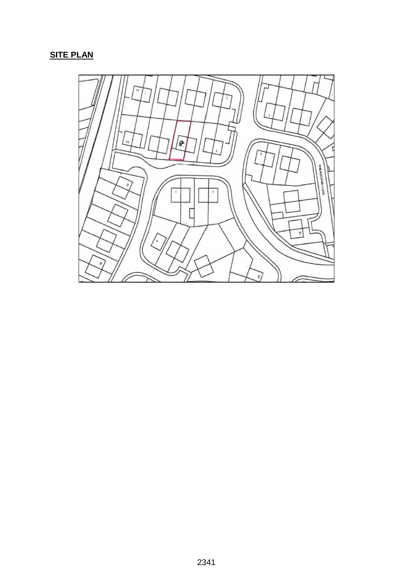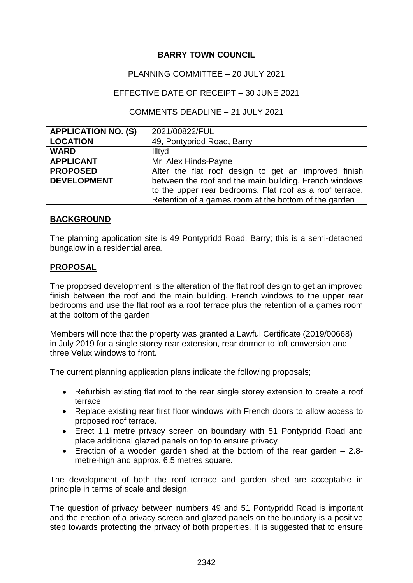## PLANNING COMMITTEE – 20 JULY 2021

## EFFECTIVE DATE OF RECEIPT – 30 JUNE 2021

## COMMENTS DEADLINE – 21 JULY 2021

| <b>APPLICATION NO. (S)</b> | 2021/00822/FUL                                           |
|----------------------------|----------------------------------------------------------|
| <b>LOCATION</b>            | 49, Pontypridd Road, Barry                               |
| <b>WARD</b>                | Illtyd                                                   |
| <b>APPLICANT</b>           | Mr Alex Hinds-Payne                                      |
| <b>PROPOSED</b>            | Alter the flat roof design to get an improved finish     |
| <b>DEVELOPMENT</b>         | between the roof and the main building. French windows   |
|                            | to the upper rear bedrooms. Flat roof as a roof terrace. |
|                            | Retention of a games room at the bottom of the garden    |

## **BACKGROUND**

The planning application site is 49 Pontypridd Road, Barry; this is a semi-detached bungalow in a residential area.

## **PROPOSAL**

The proposed development is the alteration of the flat roof design to get an improved finish between the roof and the main building. French windows to the upper rear bedrooms and use the flat roof as a roof terrace plus the retention of a games room at the bottom of the garden

Members will note that the property was granted a Lawful Certificate (2019/00668) in July 2019 for a single storey rear extension, rear dormer to loft conversion and three Velux windows to front.

The current planning application plans indicate the following proposals;

- Refurbish existing flat roof to the rear single storey extension to create a roof terrace
- Replace existing rear first floor windows with French doors to allow access to proposed roof terrace.
- Erect 1.1 metre privacy screen on boundary with 51 Pontypridd Road and place additional glazed panels on top to ensure privacy
- Erection of a wooden garden shed at the bottom of the rear garden 2.8 metre-high and approx. 6.5 metres square.

The development of both the roof terrace and garden shed are acceptable in principle in terms of scale and design.

The question of privacy between numbers 49 and 51 Pontypridd Road is important and the erection of a privacy screen and glazed panels on the boundary is a positive step towards protecting the privacy of both properties. It is suggested that to ensure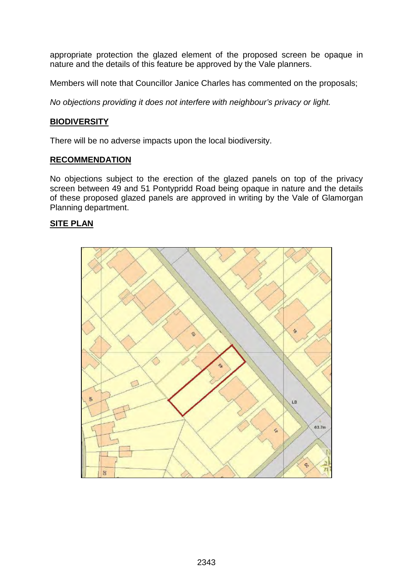appropriate protection the glazed element of the proposed screen be opaque in nature and the details of this feature be approved by the Vale planners.

Members will note that Councillor Janice Charles has commented on the proposals;

*No objections providing it does not interfere with neighbour's privacy or light.*

#### **BIODIVERSITY**

There will be no adverse impacts upon the local biodiversity.

#### **RECOMMENDATION**

No objections subject to the erection of the glazed panels on top of the privacy screen between 49 and 51 Pontypridd Road being opaque in nature and the details of these proposed glazed panels are approved in writing by the Vale of Glamorgan Planning department.

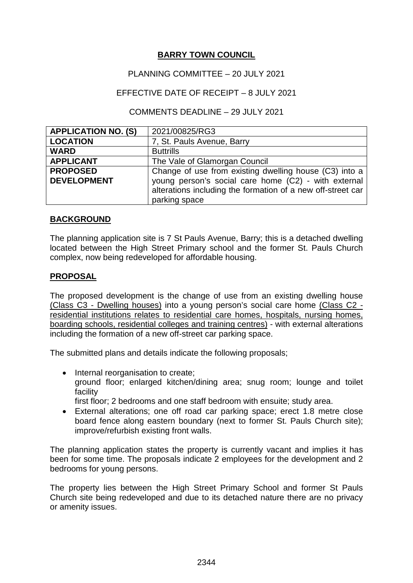## PLANNING COMMITTEE – 20 JULY 2021

## EFFECTIVE DATE OF RECEIPT – 8 JULY 2021

## COMMENTS DEADLINE – 29 JULY 2021

| <b>APPLICATION NO. (S)</b> | 2021/00825/RG3                                              |
|----------------------------|-------------------------------------------------------------|
| <b>LOCATION</b>            | 7, St. Pauls Avenue, Barry                                  |
| <b>WARD</b>                | <b>Buttrills</b>                                            |
| <b>APPLICANT</b>           | The Vale of Glamorgan Council                               |
| <b>PROPOSED</b>            | Change of use from existing dwelling house (C3) into a      |
| <b>DEVELOPMENT</b>         | young person's social care home (C2) - with external        |
|                            | alterations including the formation of a new off-street car |
|                            | parking space                                               |

## **BACKGROUND**

The planning application site is 7 St Pauls Avenue, Barry; this is a detached dwelling located between the High Street Primary school and the former St. Pauls Church complex, now being redeveloped for affordable housing.

## **PROPOSAL**

The proposed development is the change of use from an existing dwelling house (Class C3 - Dwelling houses) into a young person's social care home (Class C2 residential institutions relates to residential care homes, hospitals, nursing homes, boarding schools, residential colleges and training centres) - with external alterations including the formation of a new off-street car parking space.

The submitted plans and details indicate the following proposals;

- Internal reorganisation to create: ground floor; enlarged kitchen/dining area; snug room; lounge and toilet facility
	- first floor; 2 bedrooms and one staff bedroom with ensuite; study area.
- External alterations; one off road car parking space; erect 1.8 metre close board fence along eastern boundary (next to former St. Pauls Church site); improve/refurbish existing front walls.

The planning application states the property is currently vacant and implies it has been for some time. The proposals indicate 2 employees for the development and 2 bedrooms for young persons.

The property lies between the High Street Primary School and former St Pauls Church site being redeveloped and due to its detached nature there are no privacy or amenity issues.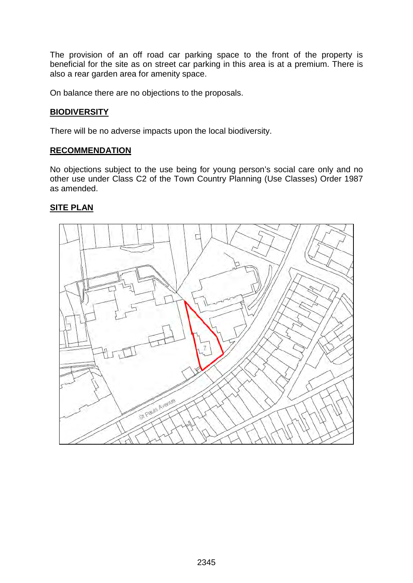The provision of an off road car parking space to the front of the property is beneficial for the site as on street car parking in this area is at a premium. There is also a rear garden area for amenity space.

On balance there are no objections to the proposals.

## **BIODIVERSITY**

There will be no adverse impacts upon the local biodiversity.

## **RECOMMENDATION**

No objections subject to the use being for young person's social care only and no other use under Class C2 of the Town Country Planning (Use Classes) Order 1987 as amended.

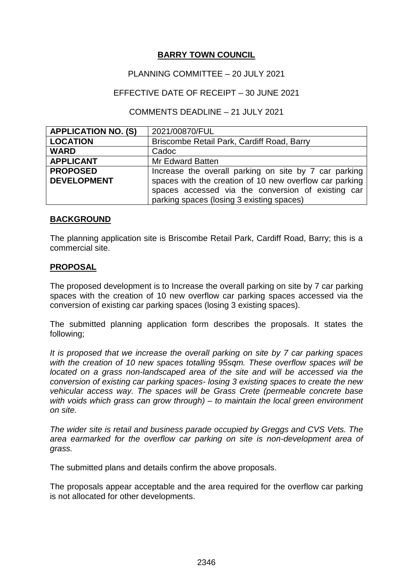## PLANNING COMMITTEE – 20 JULY 2021

## EFFECTIVE DATE OF RECEIPT – 30 JUNE 2021

## COMMENTS DEADLINE – 21 JULY 2021

| <b>APPLICATION NO. (S)</b> | 2021/00870/FUL                                          |
|----------------------------|---------------------------------------------------------|
| <b>LOCATION</b>            | Briscombe Retail Park, Cardiff Road, Barry              |
| <b>WARD</b>                | Cadoc                                                   |
| <b>APPLICANT</b>           | Mr Edward Batten                                        |
| <b>PROPOSED</b>            | Increase the overall parking on site by 7 car parking   |
| <b>DEVELOPMENT</b>         | spaces with the creation of 10 new overflow car parking |
|                            | spaces accessed via the conversion of existing car      |
|                            | parking spaces (losing 3 existing spaces)               |

## **BACKGROUND**

The planning application site is Briscombe Retail Park, Cardiff Road, Barry; this is a commercial site.

## **PROPOSAL**

The proposed development is to Increase the overall parking on site by 7 car parking spaces with the creation of 10 new overflow car parking spaces accessed via the conversion of existing car parking spaces (losing 3 existing spaces).

The submitted planning application form describes the proposals. It states the following;

*It is proposed that we increase the overall parking on site by 7 car parking spaces with the creation of 10 new spaces totalling 95sqm. These overflow spaces will be located on a grass non-landscaped area of the site and will be accessed via the conversion of existing car parking spaces- losing 3 existing spaces to create the new vehicular access way. The spaces will be Grass Crete (permeable concrete base with voids which grass can grow through) – to maintain the local green environment on site.*

*The wider site is retail and business parade occupied by Greggs and CVS Vets. The area earmarked for the overflow car parking on site is non-development area of grass.* 

The submitted plans and details confirm the above proposals.

The proposals appear acceptable and the area required for the overflow car parking is not allocated for other developments.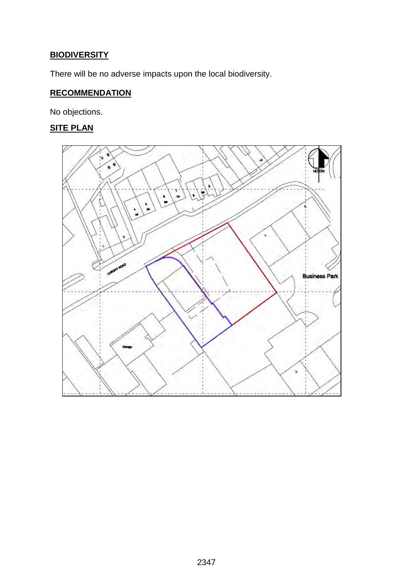# **BIODIVERSITY**

There will be no adverse impacts upon the local biodiversity.

# **RECOMMENDATION**

No objections.

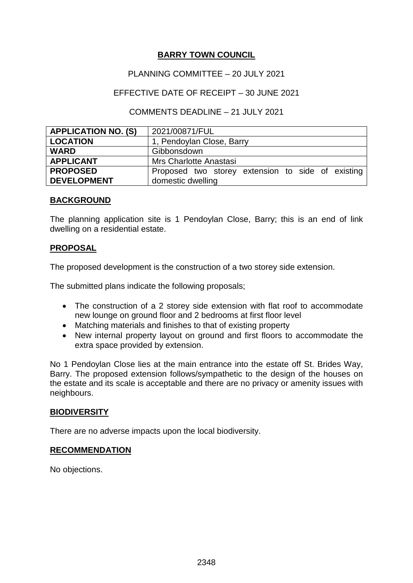## PLANNING COMMITTEE – 20 JULY 2021

## EFFECTIVE DATE OF RECEIPT – 30 JUNE 2021

## COMMENTS DEADLINE – 21 JULY 2021

| <b>APPLICATION NO. (S)</b> | 2021/00871/FUL                                    |
|----------------------------|---------------------------------------------------|
| <b>LOCATION</b>            | 1, Pendoylan Close, Barry                         |
| <b>WARD</b>                | Gibbonsdown                                       |
| <b>APPLICANT</b>           | Mrs Charlotte Anastasi                            |
| <b>PROPOSED</b>            | Proposed two storey extension to side of existing |
| <b>DEVELOPMENT</b>         | domestic dwelling                                 |

## **BACKGROUND**

The planning application site is 1 Pendoylan Close, Barry; this is an end of link dwelling on a residential estate.

## **PROPOSAL**

The proposed development is the construction of a two storey side extension.

The submitted plans indicate the following proposals;

- The construction of a 2 storey side extension with flat roof to accommodate new lounge on ground floor and 2 bedrooms at first floor level
- Matching materials and finishes to that of existing property
- New internal property layout on ground and first floors to accommodate the extra space provided by extension.

No 1 Pendoylan Close lies at the main entrance into the estate off St. Brides Way, Barry. The proposed extension follows/sympathetic to the design of the houses on the estate and its scale is acceptable and there are no privacy or amenity issues with neighbours.

## **BIODIVERSITY**

There are no adverse impacts upon the local biodiversity.

#### **RECOMMENDATION**

No objections.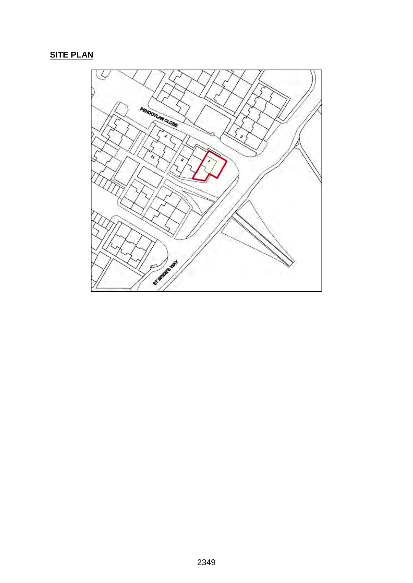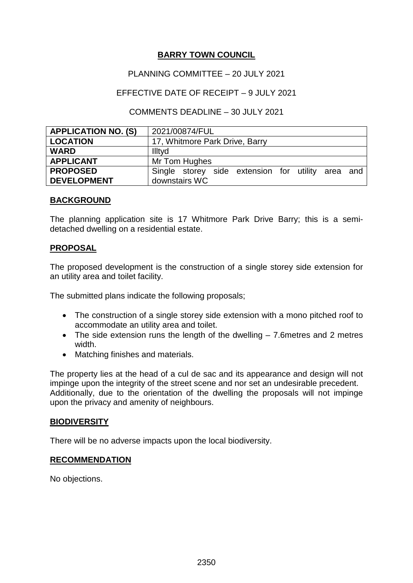## PLANNING COMMITTEE – 20 JULY 2021

## EFFECTIVE DATE OF RECEIPT – 9 JULY 2021

## COMMENTS DEADLINE – 30 JULY 2021

| <b>APPLICATION NO. (S)</b> | 2021/00874/FUL                                    |
|----------------------------|---------------------------------------------------|
| <b>LOCATION</b>            | 17, Whitmore Park Drive, Barry                    |
| <b>WARD</b>                | Illtyd                                            |
| <b>APPLICANT</b>           | Mr Tom Hughes                                     |
| <b>PROPOSED</b>            | Single storey side extension for utility area and |
| <b>DEVELOPMENT</b>         | downstairs WC                                     |

#### **BACKGROUND**

The planning application site is 17 Whitmore Park Drive Barry; this is a semidetached dwelling on a residential estate.

## **PROPOSAL**

The proposed development is the construction of a single storey side extension for an utility area and toilet facility.

The submitted plans indicate the following proposals;

- The construction of a single storey side extension with a mono pitched roof to accommodate an utility area and toilet.
- The side extension runs the length of the dwelling 7.6metres and 2 metres width.
- Matching finishes and materials.

The property lies at the head of a cul de sac and its appearance and design will not impinge upon the integrity of the street scene and nor set an undesirable precedent. Additionally, due to the orientation of the dwelling the proposals will not impinge upon the privacy and amenity of neighbours.

## **BIODIVERSITY**

There will be no adverse impacts upon the local biodiversity.

## **RECOMMENDATION**

No objections.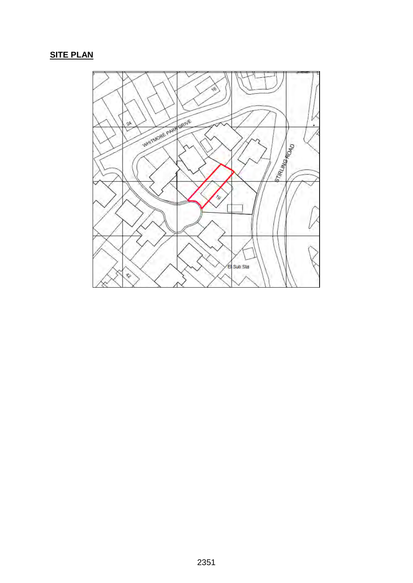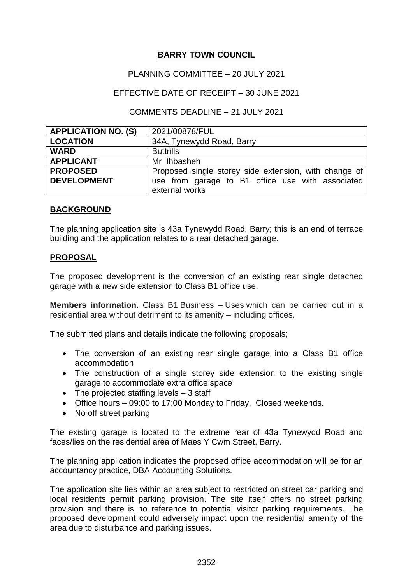## PLANNING COMMITTEE – 20 JULY 2021

## EFFECTIVE DATE OF RECEIPT – 30 JUNE 2021

## COMMENTS DEADLINE – 21 JULY 2021

| <b>APPLICATION NO. (S)</b> | 2021/00878/FUL                                        |
|----------------------------|-------------------------------------------------------|
| <b>LOCATION</b>            | 34A, Tynewydd Road, Barry                             |
| <b>WARD</b>                | <b>Buttrills</b>                                      |
| <b>APPLICANT</b>           | Mr Ihbasheh                                           |
| <b>PROPOSED</b>            | Proposed single storey side extension, with change of |
| <b>DEVELOPMENT</b>         | use from garage to B1 office use with associated      |
|                            | external works                                        |

## **BACKGROUND**

The planning application site is 43a Tynewydd Road, Barry; this is an end of terrace building and the application relates to a rear detached garage.

## **PROPOSAL**

The proposed development is the conversion of an existing rear single detached garage with a new side extension to Class B1 office use.

**Members information.** Class B1 Business – Uses which can be carried out in a residential area without detriment to its amenity – including offices.

The submitted plans and details indicate the following proposals;

- The conversion of an existing rear single garage into a Class B1 office accommodation
- The construction of a single storey side extension to the existing single garage to accommodate extra office space
- The projected staffing levels 3 staff
- Office hours 09:00 to 17:00 Monday to Friday. Closed weekends.
- No off street parking

The existing garage is located to the extreme rear of 43a Tynewydd Road and faces/lies on the residential area of Maes Y Cwm Street, Barry.

The planning application indicates the proposed office accommodation will be for an accountancy practice, DBA Accounting Solutions.

The application site lies within an area subject to restricted on street car parking and local residents permit parking provision. The site itself offers no street parking provision and there is no reference to potential visitor parking requirements. The proposed development could adversely impact upon the residential amenity of the area due to disturbance and parking issues.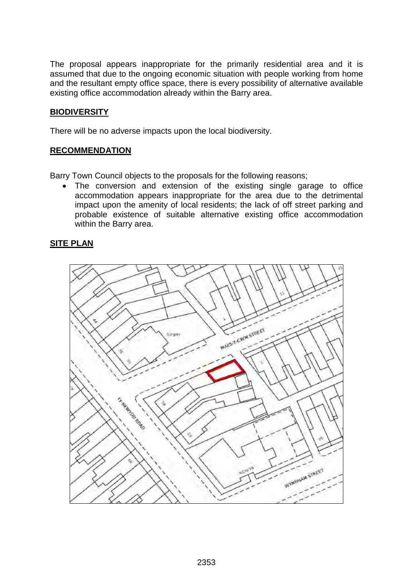The proposal appears inappropriate for the primarily residential area and it is assumed that due to the ongoing economic situation with people working from home and the resultant empty office space, there is every possibility of alternative available existing office accommodation already within the Barry area.

## **BIODIVERSITY**

There will be no adverse impacts upon the local biodiversity.

## **RECOMMENDATION**

Barry Town Council objects to the proposals for the following reasons;

• The conversion and extension of the existing single garage to office accommodation appears inappropriate for the area due to the detrimental impact upon the amenity of local residents; the lack of off street parking and probable existence of suitable alternative existing office accommodation within the Barry area.

![](_page_32_Figure_7.jpeg)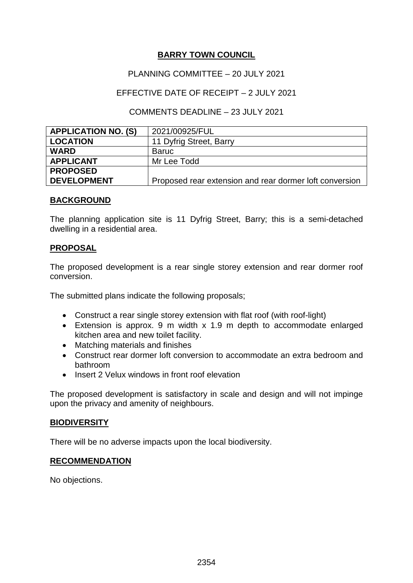## PLANNING COMMITTEE – 20 JULY 2021

## EFFECTIVE DATE OF RECEIPT – 2 JULY 2021

## COMMENTS DEADLINE – 23 JULY 2021

| <b>APPLICATION NO. (S)</b> | 2021/00925/FUL                                          |
|----------------------------|---------------------------------------------------------|
| <b>LOCATION</b>            | 11 Dyfrig Street, Barry                                 |
| <b>WARD</b>                | <b>Baruc</b>                                            |
| <b>APPLICANT</b>           | Mr Lee Todd                                             |
| <b>PROPOSED</b>            |                                                         |
| <b>DEVELOPMENT</b>         | Proposed rear extension and rear dormer loft conversion |

#### **BACKGROUND**

The planning application site is 11 Dyfrig Street, Barry; this is a semi-detached dwelling in a residential area.

## **PROPOSAL**

The proposed development is a rear single storey extension and rear dormer roof conversion.

The submitted plans indicate the following proposals;

- Construct a rear single storey extension with flat roof (with roof-light)
- Extension is approx. 9 m width x 1.9 m depth to accommodate enlarged kitchen area and new toilet facility.
- Matching materials and finishes
- Construct rear dormer loft conversion to accommodate an extra bedroom and bathroom
- Insert 2 Velux windows in front roof elevation

The proposed development is satisfactory in scale and design and will not impinge upon the privacy and amenity of neighbours.

## **BIODIVERSITY**

There will be no adverse impacts upon the local biodiversity.

## **RECOMMENDATION**

No objections.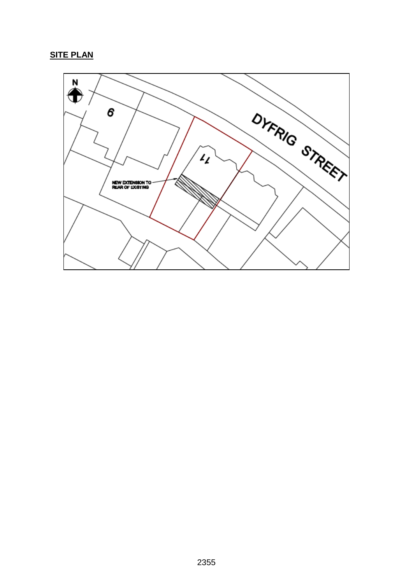![](_page_34_Figure_1.jpeg)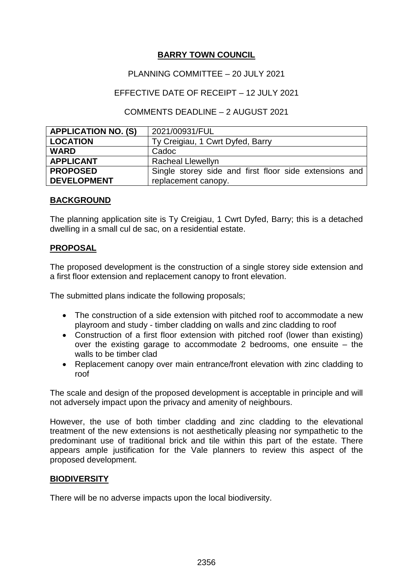## PLANNING COMMITTEE – 20 JULY 2021

## EFFECTIVE DATE OF RECEIPT – 12 JULY 2021

## COMMENTS DEADLINE – 2 AUGUST 2021

| <b>APPLICATION NO. (S)</b> | 2021/00931/FUL                                         |
|----------------------------|--------------------------------------------------------|
| <b>LOCATION</b>            | Ty Creigiau, 1 Cwrt Dyfed, Barry                       |
| <b>WARD</b>                | Cadoc                                                  |
| <b>APPLICANT</b>           | <b>Racheal Llewellyn</b>                               |
| <b>PROPOSED</b>            | Single storey side and first floor side extensions and |
| <b>DEVELOPMENT</b>         | replacement canopy.                                    |

## **BACKGROUND**

The planning application site is Ty Creigiau, 1 Cwrt Dyfed, Barry; this is a detached dwelling in a small cul de sac, on a residential estate.

## **PROPOSAL**

The proposed development is the construction of a single storey side extension and a first floor extension and replacement canopy to front elevation.

The submitted plans indicate the following proposals;

- The construction of a side extension with pitched roof to accommodate a new playroom and study - timber cladding on walls and zinc cladding to roof
- Construction of a first floor extension with pitched roof (lower than existing) over the existing garage to accommodate 2 bedrooms, one ensuite – the walls to be timber clad
- Replacement canopy over main entrance/front elevation with zinc cladding to roof

The scale and design of the proposed development is acceptable in principle and will not adversely impact upon the privacy and amenity of neighbours.

However, the use of both timber cladding and zinc cladding to the elevational treatment of the new extensions is not aesthetically pleasing nor sympathetic to the predominant use of traditional brick and tile within this part of the estate. There appears ample justification for the Vale planners to review this aspect of the proposed development.

## **BIODIVERSITY**

There will be no adverse impacts upon the local biodiversity.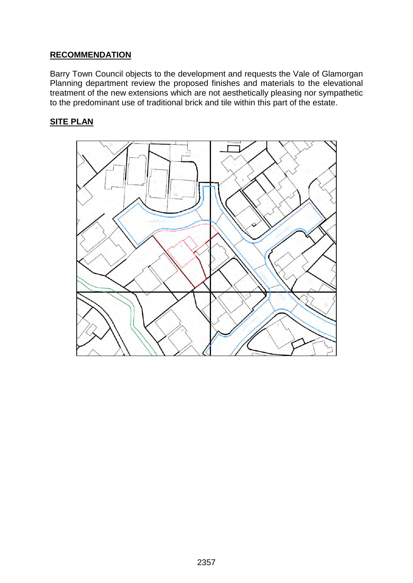# **RECOMMENDATION**

Barry Town Council objects to the development and requests the Vale of Glamorgan Planning department review the proposed finishes and materials to the elevational treatment of the new extensions which are not aesthetically pleasing nor sympathetic to the predominant use of traditional brick and tile within this part of the estate.

![](_page_36_Figure_3.jpeg)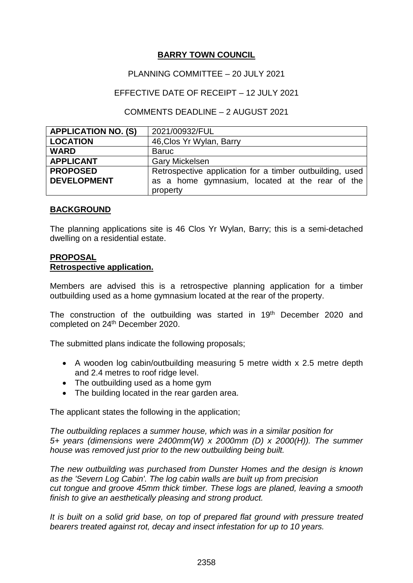## PLANNING COMMITTEE – 20 JULY 2021

## EFFECTIVE DATE OF RECEIPT – 12 JULY 2021

## COMMENTS DEADLINE – 2 AUGUST 2021

| <b>APPLICATION NO. (S)</b> | 2021/00932/FUL                                           |
|----------------------------|----------------------------------------------------------|
| <b>LOCATION</b>            | 46, Clos Yr Wylan, Barry                                 |
| <b>WARD</b>                | <b>Baruc</b>                                             |
| <b>APPLICANT</b>           | <b>Gary Mickelsen</b>                                    |
| <b>PROPOSED</b>            | Retrospective application for a timber outbuilding, used |
| <b>DEVELOPMENT</b>         | as a home gymnasium, located at the rear of the          |
|                            | property                                                 |

## **BACKGROUND**

The planning applications site is 46 Clos Yr Wylan, Barry; this is a semi-detached dwelling on a residential estate.

## **PROPOSAL Retrospective application.**

Members are advised this is a retrospective planning application for a timber outbuilding used as a home gymnasium located at the rear of the property.

The construction of the outbuilding was started in 19<sup>th</sup> December 2020 and completed on 24<sup>th</sup> December 2020.

The submitted plans indicate the following proposals;

- A wooden log cabin/outbuilding measuring 5 metre width x 2.5 metre depth and 2.4 metres to roof ridge level.
- The outbuilding used as a home gym
- The building located in the rear garden area.

The applicant states the following in the application;

*The outbuilding replaces a summer house, which was in a similar position for 5+ years (dimensions were 2400mm(W) x 2000mm (D) x 2000(H)). The summer house was removed just prior to the new outbuilding being built.*

*The new outbuilding was purchased from Dunster Homes and the design is known as the 'Severn Log Cabin'. The log cabin walls are built up from precision cut tongue and groove 45mm thick timber. These logs are planed, leaving a smooth finish to give an aesthetically pleasing and strong product.*

*It is built on a solid grid base, on top of prepared flat ground with pressure treated bearers treated against rot, decay and insect infestation for up to 10 years.*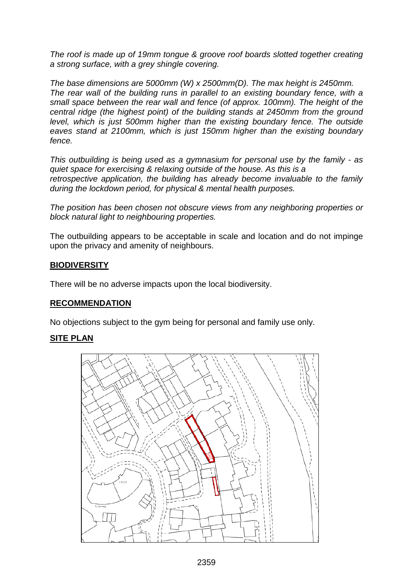*The roof is made up of 19mm tongue & groove roof boards slotted together creating a strong surface, with a grey shingle covering.*

*The base dimensions are 5000mm (W) x 2500mm(D). The max height is 2450mm. The rear wall of the building runs in parallel to an existing boundary fence, with a small space between the rear wall and fence (of approx. 100mm). The height of the central ridge (the highest point) of the building stands at 2450mm from the ground level, which is just 500mm higher than the existing boundary fence. The outside eaves stand at 2100mm, which is just 150mm higher than the existing boundary fence.*

*This outbuilding is being used as a gymnasium for personal use by the family - as quiet space for exercising & relaxing outside of the house. As this is a retrospective application, the building has already become invaluable to the family during the lockdown period, for physical & mental health purposes.*

*The position has been chosen not obscure views from any neighboring properties or block natural light to neighbouring properties.* 

The outbuilding appears to be acceptable in scale and location and do not impinge upon the privacy and amenity of neighbours.

## **BIODIVERSITY**

There will be no adverse impacts upon the local biodiversity.

## **RECOMMENDATION**

No objections subject to the gym being for personal and family use only.

![](_page_38_Picture_10.jpeg)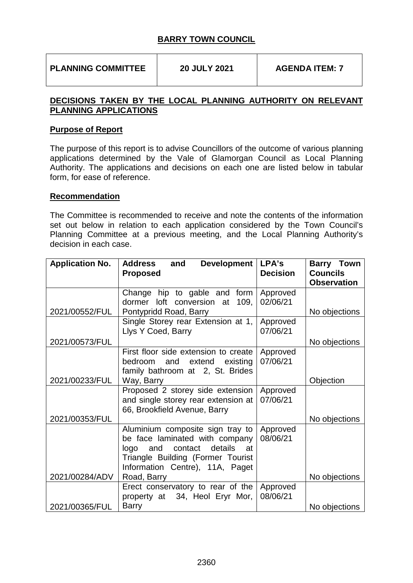**PLANNING COMMITTEE 20 JULY 2021 AGENDA ITEM: 7** 

## **DECISIONS TAKEN BY THE LOCAL PLANNING AUTHORITY ON RELEVANT PLANNING APPLICATIONS**

## **Purpose of Report**

The purpose of this report is to advise Councillors of the outcome of various planning applications determined by the Vale of Glamorgan Council as Local Planning Authority. The applications and decisions on each one are listed below in tabular form, for ease of reference.

## **Recommendation**

The Committee is recommended to receive and note the contents of the information set out below in relation to each application considered by the Town Council's Planning Committee at a previous meeting, and the Local Planning Authority's decision in each case.

| <b>Application No.</b> | <b>Development</b><br><b>Address</b><br>and<br><b>Proposed</b>                                                                                                               | LPA's<br><b>Decision</b> | <b>Barry Town</b><br><b>Councils</b><br><b>Observation</b> |
|------------------------|------------------------------------------------------------------------------------------------------------------------------------------------------------------------------|--------------------------|------------------------------------------------------------|
|                        | Change hip to gable and form                                                                                                                                                 | Approved                 |                                                            |
|                        | dormer loft conversion at<br>109,                                                                                                                                            | 02/06/21                 |                                                            |
| 2021/00552/FUL         | Pontypridd Road, Barry                                                                                                                                                       |                          | No objections                                              |
|                        | Single Storey rear Extension at 1,<br>Llys Y Coed, Barry                                                                                                                     | Approved<br>07/06/21     |                                                            |
| 2021/00573/FUL         |                                                                                                                                                                              |                          | No objections                                              |
|                        | First floor side extension to create<br>bedroom<br>extend<br>existing<br>and<br>family bathroom at 2, St. Brides                                                             | Approved<br>07/06/21     |                                                            |
| 2021/00233/FUL         | Way, Barry                                                                                                                                                                   |                          | Objection                                                  |
|                        | Proposed 2 storey side extension<br>and single storey rear extension at<br>66, Brookfield Avenue, Barry                                                                      | Approved<br>07/06/21     |                                                            |
| 2021/00353/FUL         |                                                                                                                                                                              |                          | No objections                                              |
|                        | Aluminium composite sign tray to<br>be face laminated with company<br>logo and contact details<br>at<br>Triangle Building (Former Tourist<br>Information Centre), 11A, Paget | Approved<br>08/06/21     |                                                            |
| 2021/00284/ADV         | Road, Barry                                                                                                                                                                  |                          | No objections                                              |
|                        | Erect conservatory to rear of the<br>property at 34, Heol Eryr Mor,                                                                                                          | Approved<br>08/06/21     |                                                            |
| 2021/00365/FUL         | <b>Barry</b>                                                                                                                                                                 |                          | No objections                                              |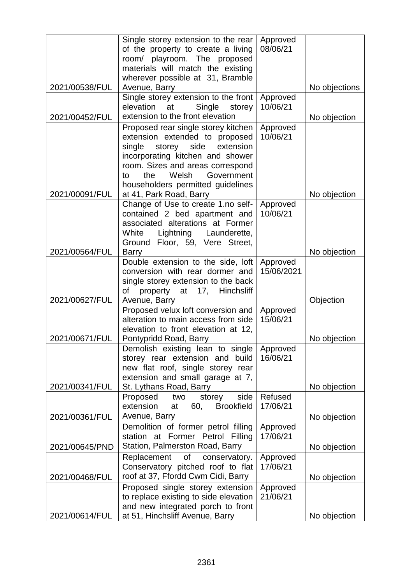|                | Single storey extension to the rear                                  | Approved   |               |
|----------------|----------------------------------------------------------------------|------------|---------------|
|                | of the property to create a living                                   | 08/06/21   |               |
|                | room/ playroom. The proposed                                         |            |               |
|                | materials will match the existing                                    |            |               |
|                | wherever possible at 31, Bramble                                     |            |               |
| 2021/00538/FUL | Avenue, Barry                                                        |            | No objections |
|                | Single storey extension to the front                                 | Approved   |               |
|                | elevation<br>Single<br>at<br>storey                                  | 10/06/21   |               |
| 2021/00452/FUL | extension to the front elevation                                     |            | No objection  |
|                | Proposed rear single storey kitchen                                  | Approved   |               |
|                | extension extended to proposed                                       | 10/06/21   |               |
|                | single<br>storey<br>side<br>extension                                |            |               |
|                | incorporating kitchen and shower                                     |            |               |
|                | room. Sizes and areas correspond<br>the<br>Welsh<br>Government<br>to |            |               |
|                | householders permitted guidelines                                    |            |               |
| 2021/00091/FUL | at 41, Park Road, Barry                                              |            | No objection  |
|                | Change of Use to create 1.no self-                                   | Approved   |               |
|                | contained 2 bed apartment and                                        | 10/06/21   |               |
|                | associated alterations at Former                                     |            |               |
|                | White<br>Lightning Launderette,                                      |            |               |
|                | Ground Floor, 59, Vere Street,                                       |            |               |
| 2021/00564/FUL | <b>Barry</b>                                                         |            | No objection  |
|                | Double extension to the side, loft                                   | Approved   |               |
|                | conversion with rear dormer and                                      | 15/06/2021 |               |
|                | single storey extension to the back                                  |            |               |
|                | property at 17, Hinchsliff<br>οf                                     |            |               |
| 2021/00627/FUL | Avenue, Barry                                                        |            | Objection     |
|                | Proposed velux loft conversion and                                   | Approved   |               |
|                | alteration to main access from side                                  | 15/06/21   |               |
|                | elevation to front elevation at 12,                                  |            |               |
| 2021/00671/FUL | Pontypridd Road, Barry                                               |            | No objection  |
|                | Demolish existing lean to single                                     | Approved   |               |
|                | storey rear extension and build                                      | 16/06/21   |               |
|                | new flat roof, single storey rear                                    |            |               |
| 2021/00341/FUL | extension and small garage at 7,<br>St. Lythans Road, Barry          |            | No objection  |
|                | side<br>Proposed two<br>storey                                       | Refused    |               |
|                | extension<br><b>Brookfield</b><br>60,<br>at                          | 17/06/21   |               |
| 2021/00361/FUL | Avenue, Barry                                                        |            | No objection  |
|                | Demolition of former petrol filling                                  | Approved   |               |
|                | station at Former Petrol Filling                                     | 17/06/21   |               |
| 2021/00645/PND | Station, Palmerston Road, Barry                                      |            | No objection  |
|                | Replacement<br>of<br>conservatory.                                   | Approved   |               |
|                | Conservatory pitched roof to flat                                    | 17/06/21   |               |
| 2021/00468/FUL | roof at 37, Ffordd Cwm Cidi, Barry                                   |            | No objection  |
|                | Proposed single storey extension                                     | Approved   |               |
|                | to replace existing to side elevation                                | 21/06/21   |               |
|                | and new integrated porch to front                                    |            |               |
| 2021/00614/FUL | at 51, Hinchsliff Avenue, Barry                                      |            | No objection  |
|                |                                                                      |            |               |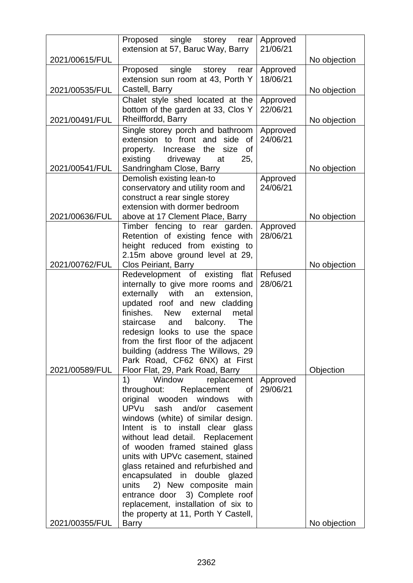|                | Proposed single storey<br>rear                                            | Approved             |              |
|----------------|---------------------------------------------------------------------------|----------------------|--------------|
|                | extension at 57, Baruc Way, Barry                                         | 21/06/21             |              |
| 2021/00615/FUL | single<br>Proposed<br>storey<br>rear                                      | Approved             | No objection |
|                | extension sun room at 43, Porth Y                                         | 18/06/21             |              |
| 2021/00535/FUL | Castell, Barry                                                            |                      | No objection |
|                | Chalet style shed located at the                                          | Approved             |              |
|                | bottom of the garden at 33, Clos Y                                        | 22/06/21             |              |
| 2021/00491/FUL | Rheilffordd, Barry                                                        |                      | No objection |
|                | Single storey porch and bathroom                                          | Approved             |              |
|                | extension to front and side of<br>Increase the<br>size<br>property.<br>of | 24/06/21             |              |
|                | existing<br>driveway<br>at<br>25,                                         |                      |              |
| 2021/00541/FUL | Sandringham Close, Barry                                                  |                      | No objection |
|                | Demolish existing lean-to                                                 | Approved             |              |
|                | conservatory and utility room and                                         | 24/06/21             |              |
|                | construct a rear single storey                                            |                      |              |
|                | extension with dormer bedroom                                             |                      |              |
| 2021/00636/FUL | above at 17 Clement Place, Barry                                          |                      | No objection |
|                | Timber fencing to rear garden.<br>Retention of existing fence with        | Approved<br>28/06/21 |              |
|                | height reduced from existing to                                           |                      |              |
|                | 2.15m above ground level at 29,                                           |                      |              |
| 2021/00762/FUL | <b>Clos Peiriant, Barry</b>                                               |                      | No objection |
|                | Redevelopment of existing<br>flat                                         | Refused              |              |
|                | internally to give more rooms and                                         | 28/06/21             |              |
|                | externally with an<br>extension,<br>updated roof and new cladding         |                      |              |
|                | finishes. New<br>external<br>metal                                        |                      |              |
|                | staircase<br>and<br>balcony.<br>The                                       |                      |              |
|                | redesign looks to use the space                                           |                      |              |
|                | from the first floor of the adjacent                                      |                      |              |
|                | building (address The Willows, 29                                         |                      |              |
|                | Park Road, CF62 6NX) at First                                             |                      |              |
| 2021/00589/FUL | Floor Flat, 29, Park Road, Barry<br>1)<br>Window<br>replacement           | Approved             | Objection    |
|                | throughout:<br>Replacement<br>of                                          | 29/06/21             |              |
|                | original wooden windows<br>with                                           |                      |              |
|                | <b>UPVu</b><br>sash and/or casement                                       |                      |              |
|                | windows (white) of similar design.                                        |                      |              |
|                | Intent is to install clear glass                                          |                      |              |
|                | without lead detail. Replacement                                          |                      |              |
|                | of wooden framed stained glass<br>units with UPVc casement, stained       |                      |              |
|                | glass retained and refurbished and                                        |                      |              |
|                | encapsulated in double glazed                                             |                      |              |
|                | 2) New composite main<br>units                                            |                      |              |
|                | entrance door 3) Complete roof                                            |                      |              |
|                | replacement, installation of six to                                       |                      |              |
| 2021/00355/FUL | the property at 11, Porth Y Castell,<br><b>Barry</b>                      |                      | No objection |
|                |                                                                           |                      |              |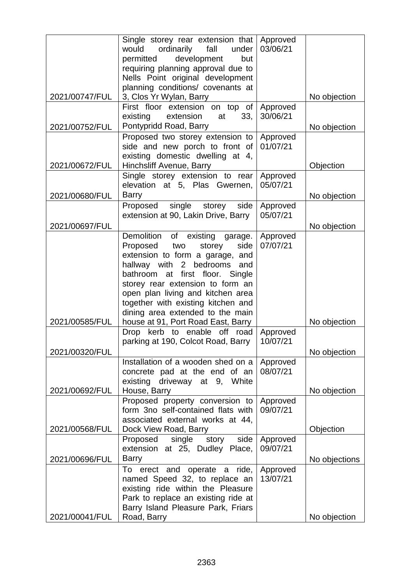|                | Single storey rear extension that Approved                               |          |               |
|----------------|--------------------------------------------------------------------------|----------|---------------|
|                | would ordinarily fall under<br>permitted<br>development<br>but           | 03/06/21 |               |
|                | requiring planning approval due to                                       |          |               |
|                | Nells Point original development                                         |          |               |
|                | planning conditions/ covenants at                                        |          |               |
| 2021/00747/FUL | 3, Clos Yr Wylan, Barry                                                  |          | No objection  |
|                | First floor extension on top of                                          | Approved |               |
|                | existing<br>extension<br>33 <sub>1</sub><br>at<br>Pontypridd Road, Barry | 30/06/21 |               |
| 2021/00752/FUL | Proposed two storey extension to                                         | Approved | No objection  |
|                | side and new porch to front of                                           | 01/07/21 |               |
|                | existing domestic dwelling at 4,                                         |          |               |
| 2021/00672/FUL | Hinchsliff Avenue, Barry                                                 |          | Objection     |
|                | Single storey extension to rear                                          | Approved |               |
|                | elevation at 5, Plas Gwernen,                                            | 05/07/21 |               |
| 2021/00680/FUL | <b>Barry</b>                                                             |          | No objection  |
|                | Proposed single storey side                                              | Approved |               |
| 2021/00697/FUL | extension at 90, Lakin Drive, Barry                                      | 05/07/21 | No objection  |
|                | Demolition of existing garage.                                           | Approved |               |
|                | storey<br>Proposed<br>two<br>side                                        | 07/07/21 |               |
|                | extension to form a garage, and                                          |          |               |
|                | hallway with 2 bedrooms and                                              |          |               |
|                | bathroom at first floor. Single                                          |          |               |
|                | storey rear extension to form an                                         |          |               |
|                | open plan living and kitchen area                                        |          |               |
|                | together with existing kitchen and<br>dining area extended to the main   |          |               |
| 2021/00585/FUL | house at 91, Port Road East, Barry                                       |          | No objection  |
|                | Drop kerb to enable off road                                             | Approved |               |
|                | parking at 190, Colcot Road, Barry                                       | 10/07/21 |               |
| 2021/00320/FUL |                                                                          |          | No objection  |
|                | Installation of a wooden shed on a                                       | Approved |               |
|                | concrete pad at the end of an                                            | 08/07/21 |               |
| 2021/00692/FUL | existing driveway at 9, White<br>House, Barry                            |          | No objection  |
|                | Proposed property conversion to                                          | Approved |               |
|                | form 3no self-contained flats with                                       | 09/07/21 |               |
|                | associated external works at 44,                                         |          |               |
| 2021/00568/FUL | Dock View Road, Barry                                                    |          | Objection     |
|                | story<br>side<br>Proposed single                                         | Approved |               |
|                | extension at 25, Dudley Place,                                           | 09/07/21 |               |
| 2021/00696/FUL | <b>Barry</b><br>To erect and operate a ride,                             | Approved | No objections |
|                | named Speed 32, to replace an                                            | 13/07/21 |               |
|                | existing ride within the Pleasure                                        |          |               |
|                | Park to replace an existing ride at                                      |          |               |
|                | Barry Island Pleasure Park, Friars                                       |          |               |
| 2021/00041/FUL | Road, Barry                                                              |          | No objection  |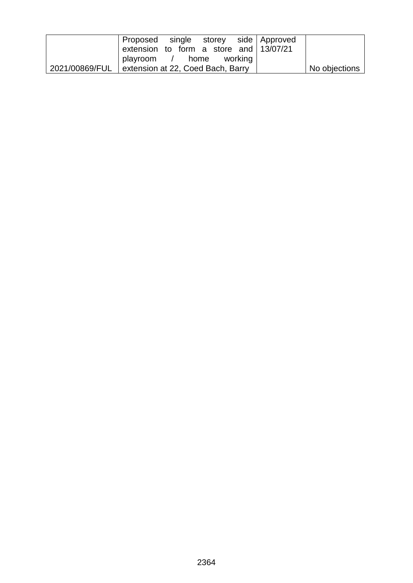|                | Proposed single storey side Approved   |  |  |               |
|----------------|----------------------------------------|--|--|---------------|
|                | extension to form a store and 13/07/21 |  |  |               |
|                | playroom / home working                |  |  |               |
| 2021/00869/FUL | extension at 22, Coed Bach, Barry      |  |  | No objections |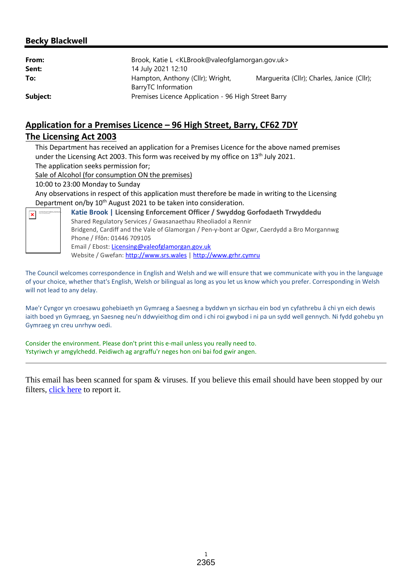## **Becky Blackwell**

| From:<br>Sent: | Brook, Katie L <klbrook@valeofglamorgan.gov.uk><br/>14 July 2021 12:10</klbrook@valeofglamorgan.gov.uk> |                                            |
|----------------|---------------------------------------------------------------------------------------------------------|--------------------------------------------|
| To:            | Hampton, Anthony (Cllr); Wright,<br>BarryTC Information                                                 | Marguerita (Cllr); Charles, Janice (Cllr); |
| Subject:       | Premises Licence Application - 96 High Street Barry                                                     |                                            |

# **Application for a Premises Licence – 96 High Street, Barry, CF62 7DY The Licensing Act 2003**

This Department has received an application for a Premises Licence for the above named premises under the Licensing Act 2003. This form was received by my office on  $13<sup>th</sup>$  July 2021.

The application seeks permission for;

Sale of Alcohol (for consumption ON the premises)

10:00 to 23:00 Monday to Sunday

Any observations in respect of this application must therefore be made in writing to the Licensing Department on/by 10<sup>th</sup> August 2021 to be taken into consideration.

![](_page_44_Picture_8.jpeg)

**Katie Brook | Licensing Enforcement Officer / Swyddog Gorfodaeth Trwyddedu** Shared Regulatory Services / Gwasanaethau Rheoliadol a Rennir Bridgend, Cardiff and the Vale of Glamorgan / Pen-y-bont ar Ogwr, Caerdydd a Bro Morgannwg Phone / Ffôn: 01446 709105 Email / Ebost: Licensing@valeofglamorgan.gov.uk Website / Gwefan: http://www.srs.wales | http://www.grhr.cymru

The Council welcomes correspondence in English and Welsh and we will ensure that we communicate with you in the language of your choice, whether that's English, Welsh or bilingual as long as you let us know which you prefer. Corresponding in Welsh will not lead to any delay.

Mae'r Cyngor yn croesawu gohebiaeth yn Gymraeg a Saesneg a byddwn yn sicrhau ein bod yn cyfathrebu â chi yn eich dewis iaith boed yn Gymraeg, yn Saesneg neu'n ddwyieithog dim ond i chi roi gwybod i ni pa un sydd well gennych. Ni fydd gohebu yn Gymraeg yn creu unrhyw oedi.

Consider the environment. Please don't print this e-mail unless you really need to. Ystyriwch yr amgylchedd. Peidiwch ag argraffu'r neges hon oni bai fod gwir angen.

This email has been scanned for spam & viruses. If you believe this email should have been stopped by our filters, click here to report it.